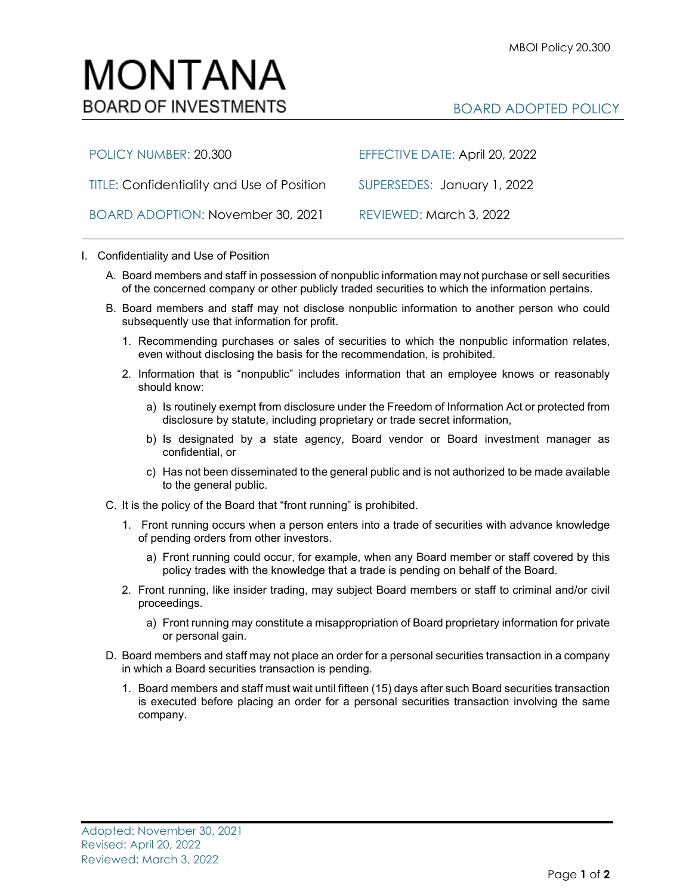## MONTANA **BOARD OF INVESTMENTS**

## BOARD ADOPTED POLICY

| POLICY NUMBER: 20.300                             | EFFECTIVE DATE: April 20, 2022 |
|---------------------------------------------------|--------------------------------|
| <b>TITLE: Confidentiality and Use of Position</b> | SUPERSEDES: January 1, 2022    |
| BOARD ADOPTION: November 30, 2021                 | REVIEWED: March 3, 2022        |

## I. Confidentiality and Use of Position

- A. Board members and staff in possession of nonpublic information may not purchase or sell securities of the concerned company or other publicly traded securities to which the information pertains.
- B. Board members and staff may not disclose nonpublic information to another person who could subsequently use that information for profit.
	- 1. Recommending purchases or sales of securities to which the nonpublic information relates, even without disclosing the basis for the recommendation, is prohibited.
	- 2. Information that is "nonpublic" includes information that an employee knows or reasonably should know:
		- a) Is routinely exempt from disclosure under the Freedom of Information Act or protected from disclosure by statute, including proprietary or trade secret information,
		- b) Is designated by a state agency, Board vendor or Board investment manager as confidential, or
		- c) Has not been disseminated to the general public and is not authorized to be made available to the general public.
- C. It is the policy of the Board that "front running" is prohibited.
	- 1. Front running occurs when a person enters into a trade of securities with advance knowledge of pending orders from other investors.
		- a) Front running could occur, for example, when any Board member or staff covered by this policy trades with the knowledge that a trade is pending on behalf of the Board.
	- 2. Front running, like insider trading, may subject Board members or staff to criminal and/or civil proceedings.
		- a) Front running may constitute a misappropriation of Board proprietary information for private or personal gain.
- D. Board members and staff may not place an order for a personal securities transaction in a company in which a Board securities transaction is pending.
	- 1. Board members and staff must wait until fifteen (15) days after such Board securities transaction is executed before placing an order for a personal securities transaction involving the same company.